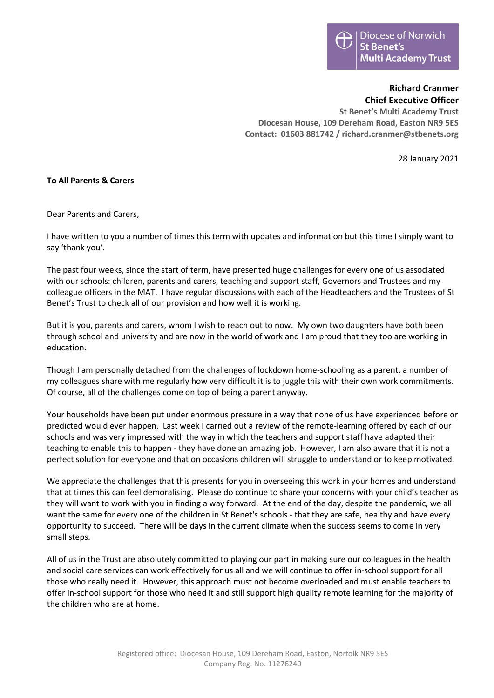## **Richard Cranmer Chief Executive Officer**

**St Benet's Multi Academy Trust Diocesan House, 109 Dereham Road, Easton NR9 5ES Contact: 01603 881742 / richard.cranmer@stbenets.org**

28 January 2021

## **To All Parents & Carers**

Dear Parents and Carers,

I have written to you a number of times this term with updates and information but this time I simply want to say 'thank you'.

The past four weeks, since the start of term, have presented huge challenges for every one of us associated with our schools: children, parents and carers, teaching and support staff, Governors and Trustees and my colleague officers in the MAT. I have regular discussions with each of the Headteachers and the Trustees of St Benet's Trust to check all of our provision and how well it is working.

But it is you, parents and carers, whom I wish to reach out to now. My own two daughters have both been through school and university and are now in the world of work and I am proud that they too are working in education.

Though I am personally detached from the challenges of lockdown home-schooling as a parent, a number of my colleagues share with me regularly how very difficult it is to juggle this with their own work commitments. Of course, all of the challenges come on top of being a parent anyway.

Your households have been put under enormous pressure in a way that none of us have experienced before or predicted would ever happen. Last week I carried out a review of the remote-learning offered by each of our schools and was very impressed with the way in which the teachers and support staff have adapted their teaching to enable this to happen - they have done an amazing job. However, I am also aware that it is not a perfect solution for everyone and that on occasions children will struggle to understand or to keep motivated.

We appreciate the challenges that this presents for you in overseeing this work in your homes and understand that at times this can feel demoralising. Please do continue to share your concerns with your child's teacher as they will want to work with you in finding a way forward. At the end of the day, despite the pandemic, we all want the same for every one of the children in St Benet's schools - that they are safe, healthy and have every opportunity to succeed. There will be days in the current climate when the success seems to come in very small steps.

All of us in the Trust are absolutely committed to playing our part in making sure our colleagues in the health and social care services can work effectively for us all and we will continue to offer in-school support for all those who really need it. However, this approach must not become overloaded and must enable teachers to offer in-school support for those who need it and still support high quality remote learning for the majority of the children who are at home.